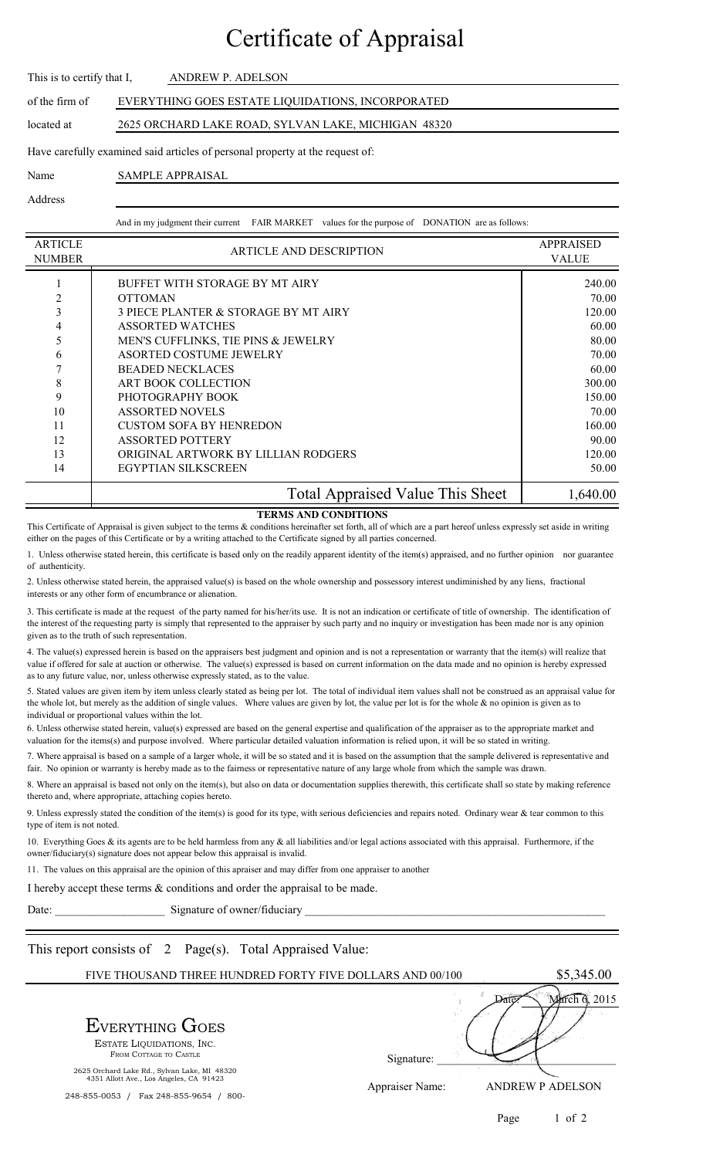## Certificate of Appraisal

| This is to certify that I,                                                    | ANDREW P. ADELSON                                   |  |  |  |
|-------------------------------------------------------------------------------|-----------------------------------------------------|--|--|--|
| of the firm of                                                                | EVERYTHING GOES ESTATE LIQUIDATIONS, INCORPORATED   |  |  |  |
| located at                                                                    | 2625 ORCHARD LAKE ROAD, SYLVAN LAKE, MICHIGAN 48320 |  |  |  |
| Have carefully examined said articles of personal property at the request of: |                                                     |  |  |  |
| Name                                                                          | SAMPLE APPRAISAL                                    |  |  |  |

Address

And in my judgment their current FAIR MARKET values for the purpose of DONATION are as follows:

| <b>ARTICLE</b><br><b>NUMBER</b> | <b>ARTICLE AND DESCRIPTION</b>          | <b>APPRAISED</b><br><b>VALUE</b> |
|---------------------------------|-----------------------------------------|----------------------------------|
|                                 | BUFFET WITH STORAGE BY MT AIRY          | 240.00                           |
| 2                               | <b>OTTOMAN</b>                          | 70.00                            |
| 3                               | 3 PIECE PLANTER & STORAGE BY MT AIRY    | 120.00                           |
| 4                               | <b>ASSORTED WATCHES</b>                 | 60.00                            |
| 5                               | MEN'S CUFFLINKS, TIE PINS & JEWELRY     | 80.00                            |
| 6                               | ASORTED COSTUME JEWELRY                 | 70.00                            |
|                                 | <b>BEADED NECKLACES</b>                 | 60.00                            |
| 8                               | <b>ART BOOK COLLECTION</b>              | 300.00                           |
| 9                               | PHOTOGRAPHY BOOK                        | 150.00                           |
| 10                              | <b>ASSORTED NOVELS</b>                  | 70.00                            |
| 11                              | <b>CUSTOM SOFA BY HENREDON</b>          | 160.00                           |
| 12                              | <b>ASSORTED POTTERY</b>                 | 90.00                            |
| 13                              | ORIGINAL ARTWORK BY LILLIAN RODGERS     | 120.00                           |
| 14                              | <b>EGYPTIAN SILKSCREEN</b>              | 50.00                            |
|                                 | <b>Total Appraised Value This Sheet</b> | 1,640.00                         |

## **TERMS AND CONDITIONS**

This Certificate of Appraisal is given subject to the terms  $\&$  conditions hereinafter set forth, all of which are a part hereof unless expressly set aside in writing either on the pages of this Certificate or by a writing attached to the Certificate signed by all parties concerned.

1. Unless otherwise stated herein, this certificate is based only on the readily apparent identity of the item(s) appraised, and no further opinion nor guarantee of authenticity.

2. Unless otherwise stated herein, the appraised value(s) is based on the whole ownership and possessory interest undiminished by any liens, fractional interests or any other form of encumbrance or alienation.

3. This certificate is made at the request of the party named for his/her/its use. It is not an indication or certificate of title of ownership. The identification of the interest of the requesting party is simply that represented to the appraiser by such party and no inquiry or investigation has been made nor is any opinion given as to the truth of such representation.

4. The value(s) expressed herein is based on the appraisers best judgment and opinion and is not a representation or warranty that the item(s) will realize that value if offered for sale at auction or otherwise. The value(s) expressed is based on current information on the data made and no opinion is hereby expressed as to any future value, nor, unless otherwise expressly stated, as to the value.

5. Stated values are given item by item unless clearly stated as being per lot. The total of individual item values shall not be construed as an appraisal value for the whole lot, but merely as the addition of single values. Where values are given by lot, the value per lot is for the whole  $\&$  no opinion is given as to individual or proportional values within the lot.

6. Unless otherwise stated herein, value(s) expressed are based on the general expertise and qualification of the appraiser as to the appropriate market and valuation for the items(s) and purpose involved. Where particular detailed valuation information is relied upon, it will be so stated in writing.

7. Where appraisal is based on a sample of a larger whole, it will be so stated and it is based on the assumption that the sample delivered is representative and fair. No opinion or warranty is hereby made as to the fairness or representative nature of any large whole from which the sample was drawn.

8. Where an appraisal is based not only on the item(s), but also on data or documentation supplies therewith, this certificate shall so state by making reference thereto and, where appropriate, attaching copies hereto.

9. Unless expressly stated the condition of the item(s) is good for its type, with serious deficiencies and repairs noted. Ordinary wear & tear common to this type of item is not noted.

10. Everything Goes & its agents are to be held harmless from any & all liabilities and/or legal actions associated with this appraisal. Furthermore, if the owner/fiduciary(s) signature does not appear below this appraisal is invalid.

11. The values on this appraisal are the opinion of this apraiser and may differ from one appraiser to another

I hereby accept these terms & conditions and order the appraisal to be made.

Date: \_\_\_\_\_\_\_\_\_\_\_\_\_\_\_\_\_\_\_ Signature of owner/fiduciary \_\_\_\_\_\_\_\_\_\_\_\_\_\_\_\_\_\_\_\_\_\_\_\_\_\_\_\_\_\_\_\_\_\_\_\_\_\_\_\_\_\_\_\_\_\_\_\_\_\_\_\_

This report consists of 2 Page(s). Total Appraised Value:

| FIVE THOUSAND THREE HUNDRED FORTY FIVE DOLLARS AND 00/100                               |                 | \$5,345.00              |
|-----------------------------------------------------------------------------------------|-----------------|-------------------------|
| <b>EVERYTHING GOES</b><br>ESTATE LIQUIDATIONS, INC.<br>FROM COTTAGE TO CASTLE           | Signature:      | 2015                    |
| 2625 Orchard Lake Rd., Sylvan Lake, MI 48320<br>4351 Allott Ave., Los Angeles, CA 91423 | Appraiser Name: | <b>ANDREW P ADELSON</b> |
| Fax 248-855-9654<br>$800 -$<br>248-855-0053                                             |                 |                         |

Page 1 of 2